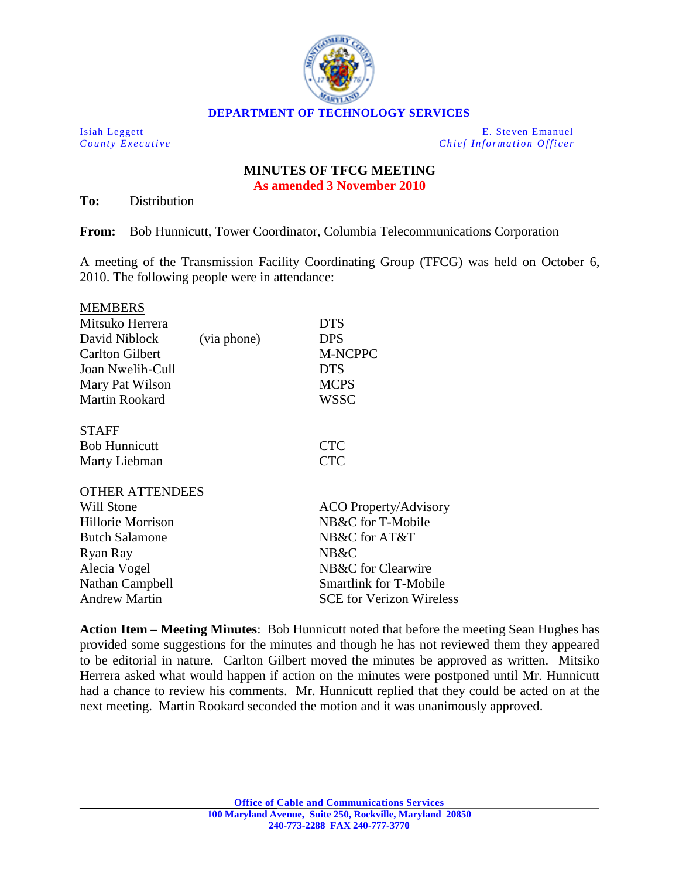

Isiah Leggett E. Steven Emanuel *County Executive Chief Information Officer*

## **MINUTES OF TFCG MEETING As amended 3 November 2010**

**To:** Distribution

**From:** Bob Hunnicutt, Tower Coordinator, Columbia Telecommunications Corporation

A meeting of the Transmission Facility Coordinating Group (TFCG) was held on October 6, 2010. The following people were in attendance:

| <b>MEMBERS</b>         |             |                              |
|------------------------|-------------|------------------------------|
| Mitsuko Herrera        |             | <b>DTS</b>                   |
| David Niblock          | (via phone) | <b>DPS</b>                   |
| <b>Carlton Gilbert</b> |             | <b>M-NCPPC</b>               |
| Joan Nwelih-Cull       |             | <b>DTS</b>                   |
| Mary Pat Wilson        |             | <b>MCPS</b>                  |
| <b>Martin Rookard</b>  |             | WSSC                         |
| <b>STAFF</b>           |             |                              |
| <b>Bob Hunnicutt</b>   |             | <b>CTC</b>                   |
| Marty Liebman          |             | <b>CTC</b>                   |
| <b>OTHER ATTENDEES</b> |             |                              |
| <b>Will Stone</b>      |             | <b>ACO Property/Advisory</b> |
| Hillorie Morrison      |             | NB&C for T-Mobile            |
| <b>Butch Salamone</b>  |             | NB&C for AT&T                |
| Ryan Ray               |             | NB&C                         |
| Alecia Vogel           |             | NB&C for Clearwire           |

Nathan Campbell Smartlink for T-Mobile Andrew Martin SCE for Verizon Wireless

**Action Item – Meeting Minutes**: Bob Hunnicutt noted that before the meeting Sean Hughes has provided some suggestions for the minutes and though he has not reviewed them they appeared to be editorial in nature. Carlton Gilbert moved the minutes be approved as written. Mitsiko Herrera asked what would happen if action on the minutes were postponed until Mr. Hunnicutt had a chance to review his comments. Mr. Hunnicutt replied that they could be acted on at the next meeting. Martin Rookard seconded the motion and it was unanimously approved.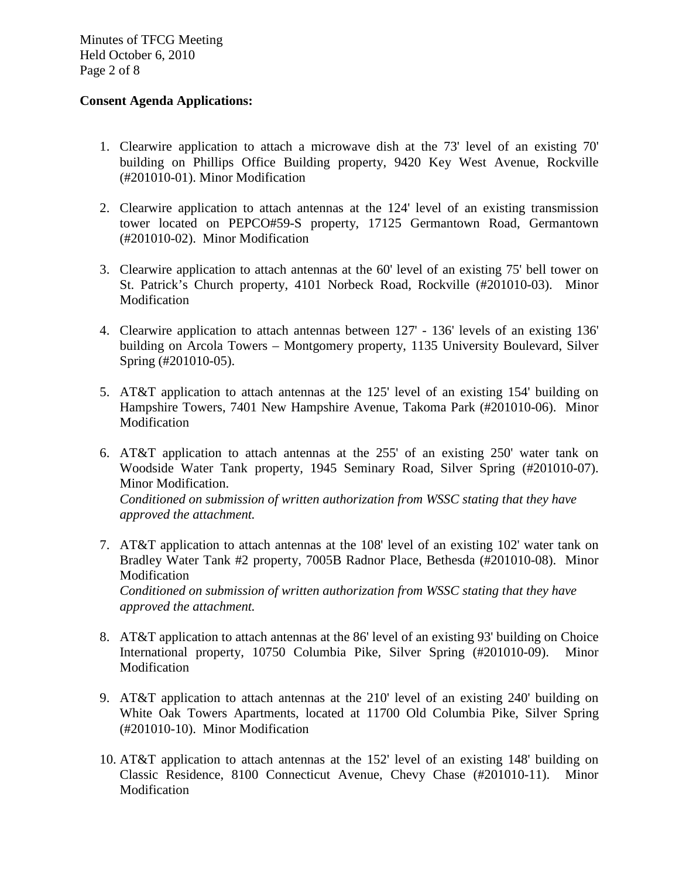Minutes of TFCG Meeting Held October 6, 2010 Page 2 of 8

## **Consent Agenda Applications:**

- 1. Clearwire application to attach a microwave dish at the 73' level of an existing 70' building on Phillips Office Building property, 9420 Key West Avenue, Rockville (#201010-01). Minor Modification
- 2. Clearwire application to attach antennas at the 124' level of an existing transmission tower located on PEPCO#59-S property, 17125 Germantown Road, Germantown (#201010-02). Minor Modification
- 3. Clearwire application to attach antennas at the 60' level of an existing 75' bell tower on St. Patrick's Church property, 4101 Norbeck Road, Rockville (#201010-03). Minor Modification
- 4. Clearwire application to attach antennas between 127' 136' levels of an existing 136' building on Arcola Towers – Montgomery property, 1135 University Boulevard, Silver Spring (#201010-05).
- 5. AT&T application to attach antennas at the 125' level of an existing 154' building on Hampshire Towers, 7401 New Hampshire Avenue, Takoma Park (#201010-06). Minor Modification
- 6. AT&T application to attach antennas at the 255' of an existing 250' water tank on Woodside Water Tank property, 1945 Seminary Road, Silver Spring (#201010-07). Minor Modification.

*Conditioned on submission of written authorization from WSSC stating that they have approved the attachment.* 

- 7. AT&T application to attach antennas at the 108' level of an existing 102' water tank on Bradley Water Tank #2 property, 7005B Radnor Place, Bethesda (#201010-08). Minor Modification *Conditioned on submission of written authorization from WSSC stating that they have approved the attachment.*
- 8. AT&T application to attach antennas at the 86' level of an existing 93' building on Choice International property, 10750 Columbia Pike, Silver Spring (#201010-09). Minor Modification
- 9. AT&T application to attach antennas at the 210' level of an existing 240' building on White Oak Towers Apartments, located at 11700 Old Columbia Pike, Silver Spring (#201010-10). Minor Modification
- 10. AT&T application to attach antennas at the 152' level of an existing 148' building on Classic Residence, 8100 Connecticut Avenue, Chevy Chase (#201010-11). Minor Modification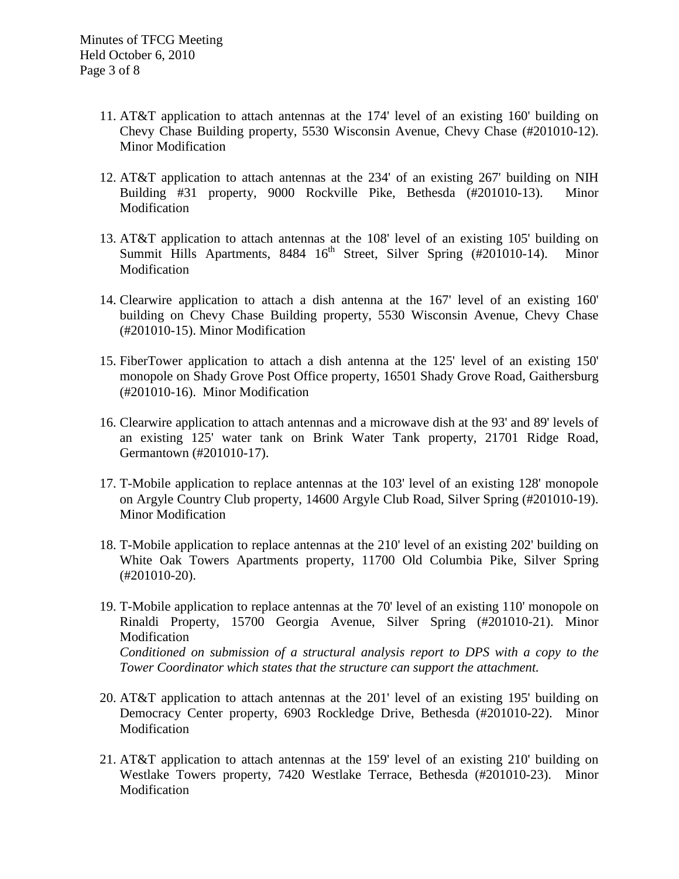- 11. AT&T application to attach antennas at the 174' level of an existing 160' building on Chevy Chase Building property, 5530 Wisconsin Avenue, Chevy Chase (#201010-12). Minor Modification
- 12. AT&T application to attach antennas at the 234' of an existing 267' building on NIH Building #31 property, 9000 Rockville Pike, Bethesda (#201010-13). Minor Modification
- 13. AT&T application to attach antennas at the 108' level of an existing 105' building on Summit Hills Apartments,  $8484 \quad 16^{th}$  Street, Silver Spring (#201010-14). Minor Modification
- 14. Clearwire application to attach a dish antenna at the 167' level of an existing 160' building on Chevy Chase Building property, 5530 Wisconsin Avenue, Chevy Chase (#201010-15). Minor Modification
- 15. FiberTower application to attach a dish antenna at the 125' level of an existing 150' monopole on Shady Grove Post Office property, 16501 Shady Grove Road, Gaithersburg (#201010-16). Minor Modification
- 16. Clearwire application to attach antennas and a microwave dish at the 93' and 89' levels of an existing 125' water tank on Brink Water Tank property, 21701 Ridge Road, Germantown (#201010-17).
- 17. T-Mobile application to replace antennas at the 103' level of an existing 128' monopole on Argyle Country Club property, 14600 Argyle Club Road, Silver Spring (#201010-19). Minor Modification
- 18. T-Mobile application to replace antennas at the 210' level of an existing 202' building on White Oak Towers Apartments property, 11700 Old Columbia Pike, Silver Spring (#201010-20).
- 19. T-Mobile application to replace antennas at the 70' level of an existing 110' monopole on Rinaldi Property, 15700 Georgia Avenue, Silver Spring (#201010-21). Minor Modification *Conditioned on submission of a structural analysis report to DPS with a copy to the Tower Coordinator which states that the structure can support the attachment.*
- 20. AT&T application to attach antennas at the 201' level of an existing 195' building on Democracy Center property, 6903 Rockledge Drive, Bethesda (#201010-22). Minor Modification
- 21. AT&T application to attach antennas at the 159' level of an existing 210' building on Westlake Towers property, 7420 Westlake Terrace, Bethesda (#201010-23). Minor Modification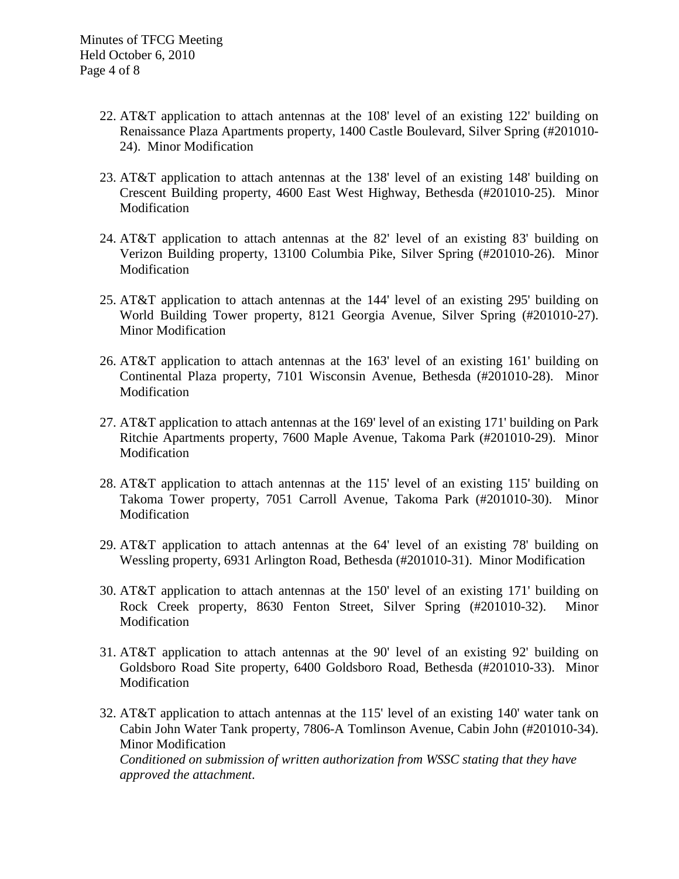- 22. AT&T application to attach antennas at the 108' level of an existing 122' building on Renaissance Plaza Apartments property, 1400 Castle Boulevard, Silver Spring (#201010- 24). Minor Modification
- 23. AT&T application to attach antennas at the 138' level of an existing 148' building on Crescent Building property, 4600 East West Highway, Bethesda (#201010-25). Minor Modification
- 24. AT&T application to attach antennas at the 82' level of an existing 83' building on Verizon Building property, 13100 Columbia Pike, Silver Spring (#201010-26). Minor Modification
- 25. AT&T application to attach antennas at the 144' level of an existing 295' building on World Building Tower property, 8121 Georgia Avenue, Silver Spring (#201010-27). Minor Modification
- 26. AT&T application to attach antennas at the 163' level of an existing 161' building on Continental Plaza property, 7101 Wisconsin Avenue, Bethesda (#201010-28). Minor Modification
- 27. AT&T application to attach antennas at the 169' level of an existing 171' building on Park Ritchie Apartments property, 7600 Maple Avenue, Takoma Park (#201010-29). Minor Modification
- 28. AT&T application to attach antennas at the 115' level of an existing 115' building on Takoma Tower property, 7051 Carroll Avenue, Takoma Park (#201010-30). Minor Modification
- 29. AT&T application to attach antennas at the 64' level of an existing 78' building on Wessling property, 6931 Arlington Road, Bethesda (#201010-31). Minor Modification
- 30. AT&T application to attach antennas at the 150' level of an existing 171' building on Rock Creek property, 8630 Fenton Street, Silver Spring (#201010-32). Minor Modification
- 31. AT&T application to attach antennas at the 90' level of an existing 92' building on Goldsboro Road Site property, 6400 Goldsboro Road, Bethesda (#201010-33). Minor Modification
- 32. AT&T application to attach antennas at the 115' level of an existing 140' water tank on Cabin John Water Tank property, 7806-A Tomlinson Avenue, Cabin John (#201010-34). Minor Modification

*Conditioned on submission of written authorization from WSSC stating that they have approved the attachment*.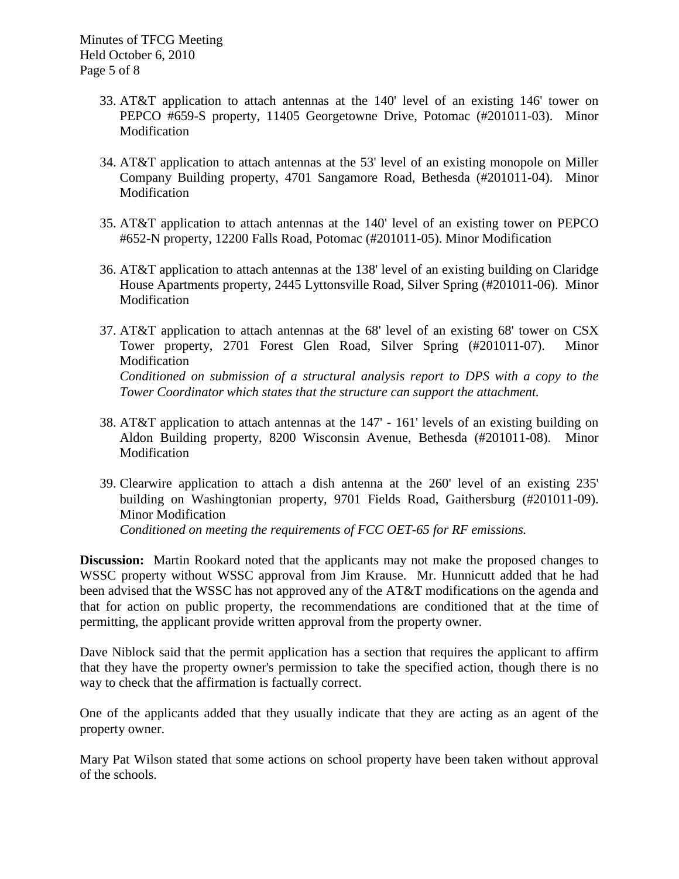- 33. AT&T application to attach antennas at the 140' level of an existing 146' tower on PEPCO #659-S property, 11405 Georgetowne Drive, Potomac (#201011-03). Minor Modification
- 34. AT&T application to attach antennas at the 53' level of an existing monopole on Miller Company Building property, 4701 Sangamore Road, Bethesda (#201011-04). Minor Modification
- 35. AT&T application to attach antennas at the 140' level of an existing tower on PEPCO #652-N property, 12200 Falls Road, Potomac (#201011-05). Minor Modification
- 36. AT&T application to attach antennas at the 138' level of an existing building on Claridge House Apartments property, 2445 Lyttonsville Road, Silver Spring (#201011-06). Minor Modification
- 37. AT&T application to attach antennas at the 68' level of an existing 68' tower on CSX Tower property, 2701 Forest Glen Road, Silver Spring (#201011-07). Minor Modification *Conditioned on submission of a structural analysis report to DPS with a copy to the Tower Coordinator which states that the structure can support the attachment.*
- 38. AT&T application to attach antennas at the 147' 161' levels of an existing building on Aldon Building property, 8200 Wisconsin Avenue, Bethesda (#201011-08). Minor Modification
- 39. Clearwire application to attach a dish antenna at the 260' level of an existing 235' building on Washingtonian property, 9701 Fields Road, Gaithersburg (#201011-09). Minor Modification *Conditioned on meeting the requirements of FCC OET-65 for RF emissions.*

**Discussion:** Martin Rookard noted that the applicants may not make the proposed changes to WSSC property without WSSC approval from Jim Krause. Mr. Hunnicutt added that he had been advised that the WSSC has not approved any of the AT&T modifications on the agenda and that for action on public property, the recommendations are conditioned that at the time of permitting, the applicant provide written approval from the property owner.

Dave Niblock said that the permit application has a section that requires the applicant to affirm that they have the property owner's permission to take the specified action, though there is no way to check that the affirmation is factually correct.

One of the applicants added that they usually indicate that they are acting as an agent of the property owner.

Mary Pat Wilson stated that some actions on school property have been taken without approval of the schools.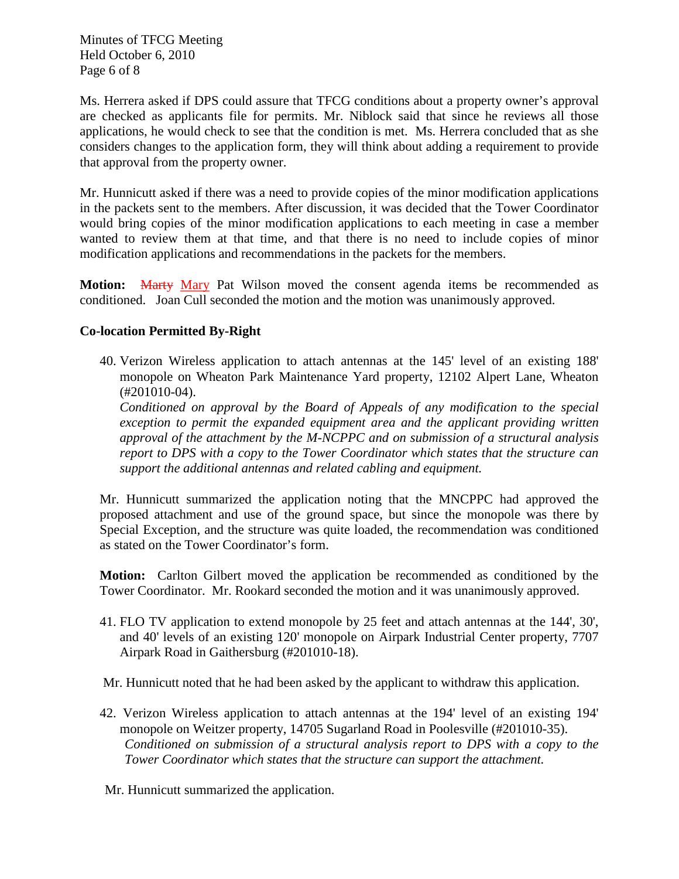Minutes of TFCG Meeting Held October 6, 2010 Page 6 of 8

Ms. Herrera asked if DPS could assure that TFCG conditions about a property owner's approval are checked as applicants file for permits. Mr. Niblock said that since he reviews all those applications, he would check to see that the condition is met. Ms. Herrera concluded that as she considers changes to the application form, they will think about adding a requirement to provide that approval from the property owner.

Mr. Hunnicutt asked if there was a need to provide copies of the minor modification applications in the packets sent to the members. After discussion, it was decided that the Tower Coordinator would bring copies of the minor modification applications to each meeting in case a member wanted to review them at that time, and that there is no need to include copies of minor modification applications and recommendations in the packets for the members.

**Motion:** Marty Mary Pat Wilson moved the consent agenda items be recommended as conditioned. Joan Cull seconded the motion and the motion was unanimously approved.

## **Co-location Permitted By-Right**

40. Verizon Wireless application to attach antennas at the 145' level of an existing 188' monopole on Wheaton Park Maintenance Yard property, 12102 Alpert Lane, Wheaton (#201010-04).

*Conditioned on approval by the Board of Appeals of any modification to the special exception to permit the expanded equipment area and the applicant providing written approval of the attachment by the M-NCPPC and on submission of a structural analysis report to DPS with a copy to the Tower Coordinator which states that the structure can support the additional antennas and related cabling and equipment.*

Mr. Hunnicutt summarized the application noting that the MNCPPC had approved the proposed attachment and use of the ground space, but since the monopole was there by Special Exception, and the structure was quite loaded, the recommendation was conditioned as stated on the Tower Coordinator's form.

**Motion:** Carlton Gilbert moved the application be recommended as conditioned by the Tower Coordinator. Mr. Rookard seconded the motion and it was unanimously approved.

41. FLO TV application to extend monopole by 25 feet and attach antennas at the 144', 30', and 40' levels of an existing 120' monopole on Airpark Industrial Center property, 7707 Airpark Road in Gaithersburg (#201010-18).

Mr. Hunnicutt noted that he had been asked by the applicant to withdraw this application.

42. Verizon Wireless application to attach antennas at the 194' level of an existing 194' monopole on Weitzer property, 14705 Sugarland Road in Poolesville (#201010-35). *Conditioned on submission of a structural analysis report to DPS with a copy to the Tower Coordinator which states that the structure can support the attachment.*

Mr. Hunnicutt summarized the application.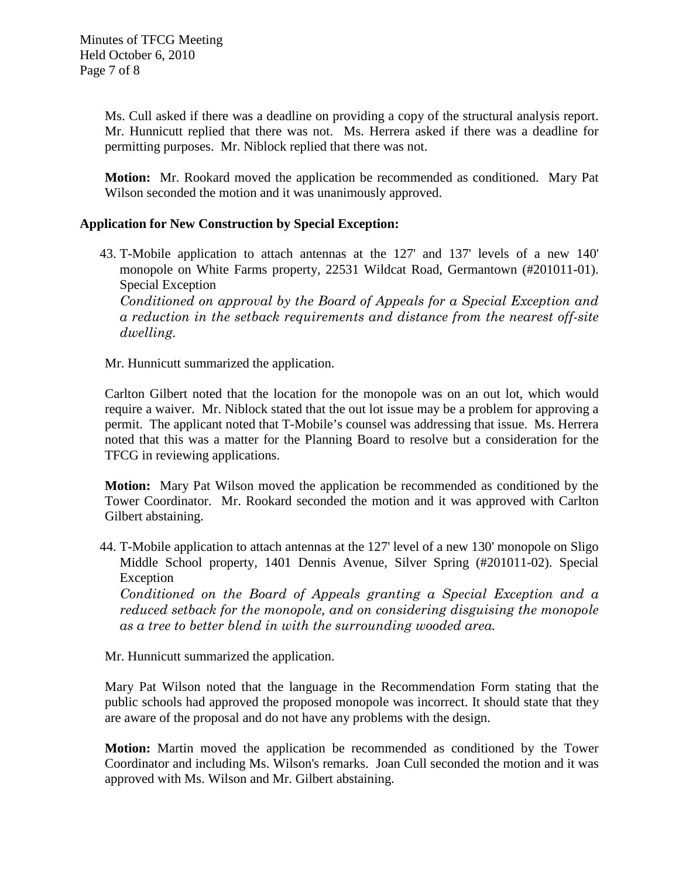Ms. Cull asked if there was a deadline on providing a copy of the structural analysis report. Mr. Hunnicutt replied that there was not. Ms. Herrera asked if there was a deadline for permitting purposes. Mr. Niblock replied that there was not.

**Motion:** Mr. Rookard moved the application be recommended as conditioned. Mary Pat Wilson seconded the motion and it was unanimously approved.

## **Application for New Construction by Special Exception:**

43. T-Mobile application to attach antennas at the 127' and 137' levels of a new 140' monopole on White Farms property, 22531 Wildcat Road, Germantown (#201011-01). Special Exception

*Conditioned on approval by the Board of Appeals for a Special Exception and a reduction in the setback requirements and distance from the nearest off-site dwelling.* 

Mr. Hunnicutt summarized the application.

Carlton Gilbert noted that the location for the monopole was on an out lot, which would require a waiver. Mr. Niblock stated that the out lot issue may be a problem for approving a permit. The applicant noted that T-Mobile's counsel was addressing that issue. Ms. Herrera noted that this was a matter for the Planning Board to resolve but a consideration for the TFCG in reviewing applications.

**Motion:** Mary Pat Wilson moved the application be recommended as conditioned by the Tower Coordinator. Mr. Rookard seconded the motion and it was approved with Carlton Gilbert abstaining.

44. T-Mobile application to attach antennas at the 127' level of a new 130' monopole on Sligo Middle School property, 1401 Dennis Avenue, Silver Spring (#201011-02). Special Exception

*Conditioned on the Board of Appeals granting a Special Exception and a reduced setback for the monopole, and on considering disguising the monopole as a tree to better blend in with the surrounding wooded area.* 

Mr. Hunnicutt summarized the application.

Mary Pat Wilson noted that the language in the Recommendation Form stating that the public schools had approved the proposed monopole was incorrect. It should state that they are aware of the proposal and do not have any problems with the design.

**Motion:** Martin moved the application be recommended as conditioned by the Tower Coordinator and including Ms. Wilson's remarks. Joan Cull seconded the motion and it was approved with Ms. Wilson and Mr. Gilbert abstaining.